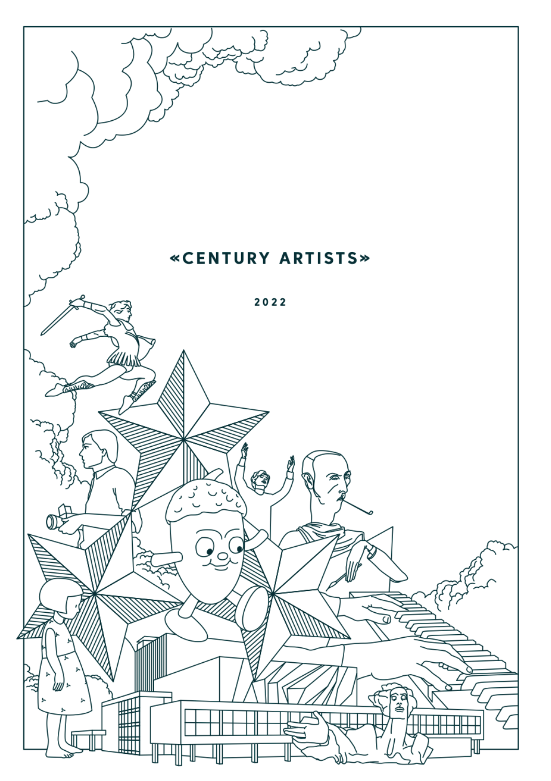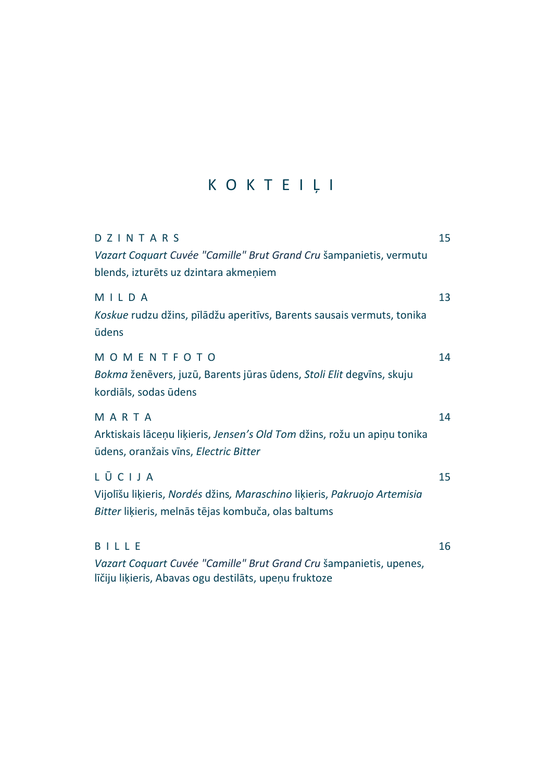# K O K T E I Ļ I

| DZINTARS<br>Vazart Coquart Cuvée "Camille" Brut Grand Cru šampanietis, vermutu<br>blends, izturēts uz dzintara akmeņiem                   | 15 |
|-------------------------------------------------------------------------------------------------------------------------------------------|----|
| MILDA<br>Koskue rudzu džins, pīlādžu aperitīvs, Barents sausais vermuts, tonika<br>ūdens                                                  | 13 |
| MOMENTFOTO<br>Bokma ženēvers, juzū, Barents jūras ūdens, Stoli Elit degvīns, skuju<br>kordiāls, sodas ūdens                               | 14 |
| MARTA<br>Arktiskais lāceņu liķieris, Jensen's Old Tom džins, rožu un apiņu tonika<br>ūdens, oranžais vīns, Electric Bitter                | 14 |
| LŪCIJA<br>Vijolīšu liķieris, Nordés džins, Maraschino liķieris, Pakruojo Artemisia<br>Bitter liķieris, melnās tējas kombuča, olas baltums | 15 |
| BILLE<br>Vazart Coquart Cuvée "Camille" Brut Grand Cru šampanietis, upenes,<br>līčiju liķieris, Abavas ogu destilāts, upeņu fruktoze      | 16 |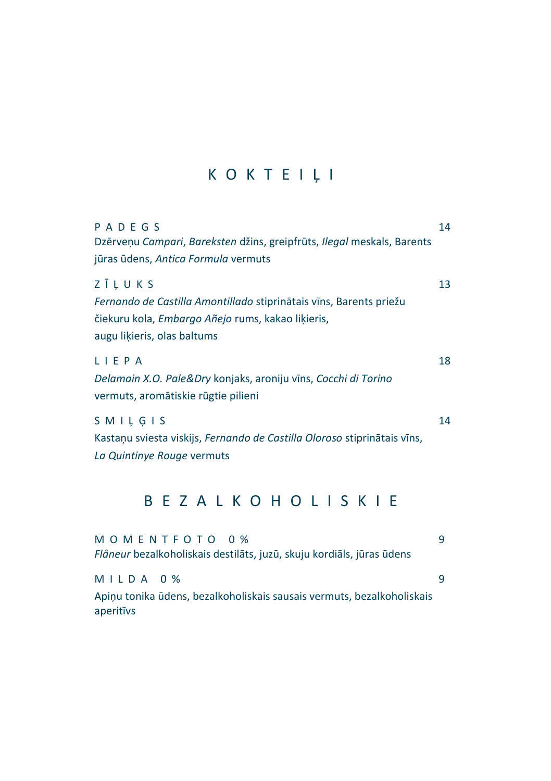## K O K T E I Ļ I

| PADEGS                                                                   | 14 |
|--------------------------------------------------------------------------|----|
| Dzērveņu Campari, Bareksten džins, greipfrūts, Ilegal meskals, Barents   |    |
| jūras ūdens, Antica Formula vermuts                                      |    |
| ZĪLUKS                                                                   | 13 |
| Fernando de Castilla Amontillado stiprinātais vīns, Barents priežu       |    |
| čiekuru kola, Embargo Añejo rums, kakao likieris,                        |    |
| augu likieris, olas baltums                                              |    |
| LIEPA                                                                    | 18 |
| Delamain X.O. Pale&Dry konjaks, aroniju vīns, Cocchi di Torino           |    |
| vermuts, aromātiskie rūgtie pilieni                                      |    |
| SMILGIS                                                                  | 14 |
| Kastaņu sviesta viskijs, Fernando de Castilla Oloroso stiprinātais vīns, |    |
| La Quintinye Rouge vermuts                                               |    |
|                                                                          |    |

### B E Z A L K O H O L I S K I E

| MOMENTFOTO 0%                                                          | q |
|------------------------------------------------------------------------|---|
| Flâneur bezalkoholiskais destilāts, juzū, skuju kordiāls, jūras ūdens  |   |
|                                                                        |   |
| MILDA 0%                                                               | q |
| Apinu tonika ūdens, bezalkoholiskais sausais vermuts, bezalkoholiskais |   |
| aperitivs                                                              |   |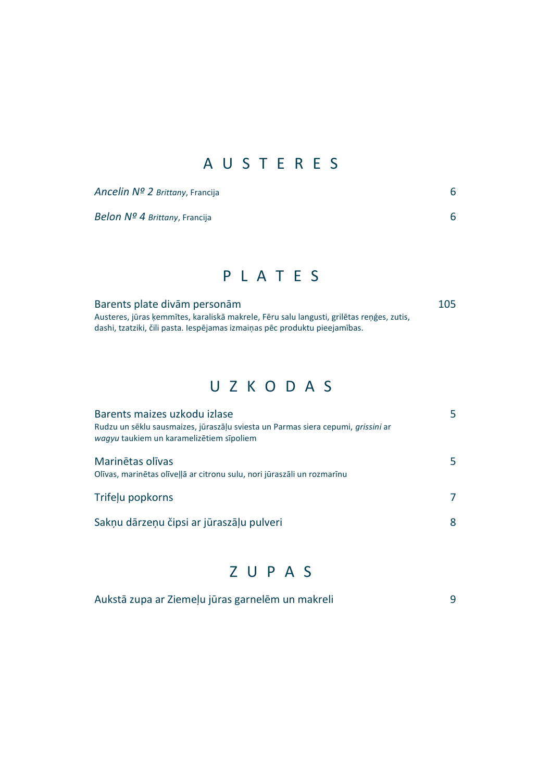#### A U S T E R E S

| Ancelin Nº 2 Brittany, Francija |  |
|---------------------------------|--|
|                                 |  |

*Belon Nº 4 Brittany*, Francija 6

#### P L A T E S

Barents plate divām personām 105 Austeres, jūras ķemmītes, karaliskā makrele, Fēru salu langusti, grilētas reņģes, zutis, dashi, tzatziki, čili pasta. Iespējamas izmaiņas pēc produktu pieejamības.

#### U Z K O D A S

| Barents maizes uzkodu izlase<br>Rudzu un sēkļu sausmaizes, jūraszāļu sviesta un Parmas siera cepumi, grissini ar<br>wagyu taukiem un karamelizētiem sīpoliem | 5 |
|--------------------------------------------------------------------------------------------------------------------------------------------------------------|---|
| Marinētas olīvas<br>Olīvas, marinētas olīvellā ar citronu sulu, nori jūraszāli un rozmarīnu                                                                  | 5 |
| Trifelu popkorns                                                                                                                                             | 7 |
| Saknu dārzenu čipsi ar jūraszālu pulveri                                                                                                                     | 8 |

#### Z U P A S

| Aukstā zupa ar Ziemeļu jūras garnelēm un makreli |  |  |
|--------------------------------------------------|--|--|
|--------------------------------------------------|--|--|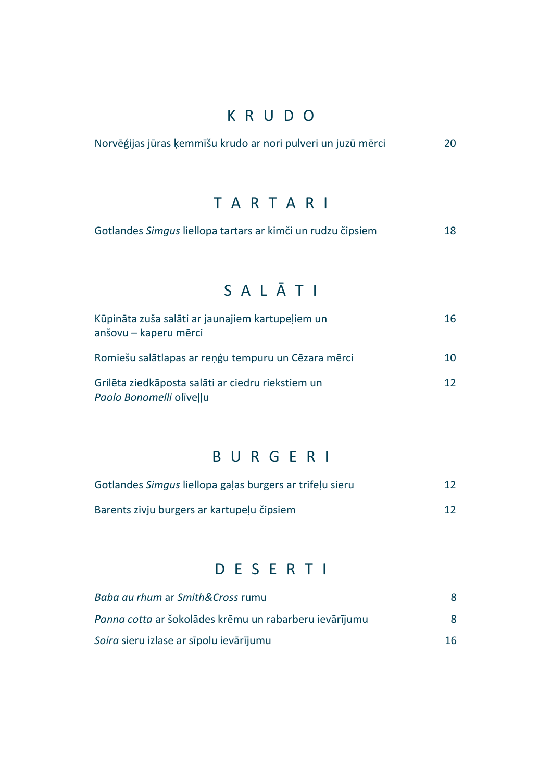#### K R U D O

| Norvēģijas jūras ķemmīšu krudo ar nori pulveri un juzū mērci |  |  |  | 20 |
|--------------------------------------------------------------|--|--|--|----|
|--------------------------------------------------------------|--|--|--|----|

### TARTARI

|  | Gotlandes Simgus liellopa tartars ar kimči un rudzu čipsiem | 18 |
|--|-------------------------------------------------------------|----|
|--|-------------------------------------------------------------|----|

### S A L Ā T I

| Kūpināta zuša salāti ar jaunajiem kartupeļiem un<br>anšovu – kaperu mērci     | 16              |
|-------------------------------------------------------------------------------|-----------------|
| Romiešu salātlapas ar reņģu tempuru un Cēzara mērci                           | 10              |
| Grilēta ziedkāposta salāti ar ciedru riekstiem un<br>Paolo Bonomelli olivellu | 12 <sup>°</sup> |

### B U R G E R I

| Gotlandes Simgus liellopa galas burgers ar trifelu sieru | 12 |
|----------------------------------------------------------|----|
| Barents zivju burgers ar kartupelu čipsiem               | 12 |

#### D E S E R T I

| Baba au rhum ar Smith⨯ rumu                            |    |
|--------------------------------------------------------|----|
| Panna cotta ar šokolādes krēmu un rabarberu ievārījumu | 8  |
| Soira sieru izlase ar sīpolu ievārījumu                | 16 |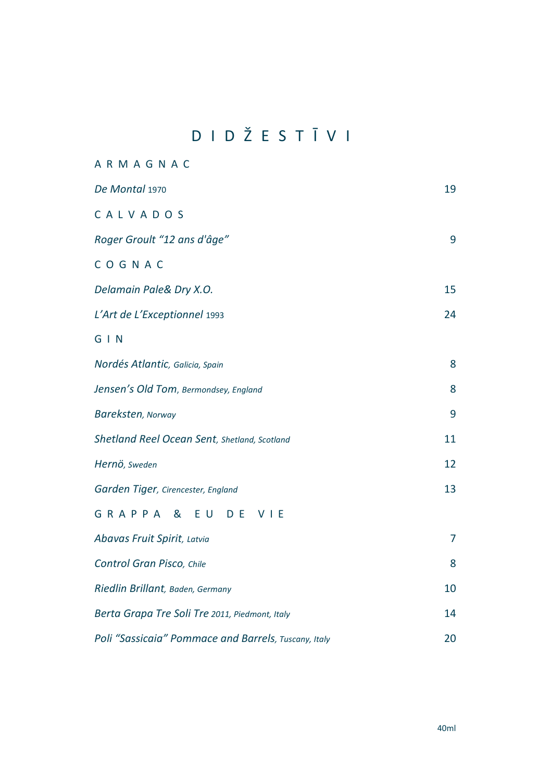## DIDŽESTĪVI

| ARMAGNAC                                             |    |
|------------------------------------------------------|----|
| De Montal 1970                                       | 19 |
| CALVADOS                                             |    |
| Roger Groult "12 ans d'âge"                          | 9  |
| COGNAC                                               |    |
| Delamain Pale& Dry X.O.                              | 15 |
| L'Art de L'Exceptionnel 1993                         | 24 |
| $G \mid N$                                           |    |
| Nordés Atlantic, Galicia, Spain                      | 8  |
| Jensen's Old Tom, Bermondsey, England                | 8  |
| Bareksten, Norway                                    | 9  |
| Shetland Reel Ocean Sent, Shetland, Scotland         | 11 |
| Hernö, Sweden                                        | 12 |
| Garden Tiger, Cirencester, England                   | 13 |
| GRAPPA &<br>EU<br>D E<br>VIE                         |    |
| Abavas Fruit Spirit, Latvia                          | 7  |
| Control Gran Pisco, Chile                            | 8  |
| Riedlin Brillant, Baden, Germany                     | 10 |
| Berta Grapa Tre Soli Tre 2011, Piedmont, Italy       | 14 |
| Poli "Sassicaia" Pommace and Barrels, Tuscany, Italy | 20 |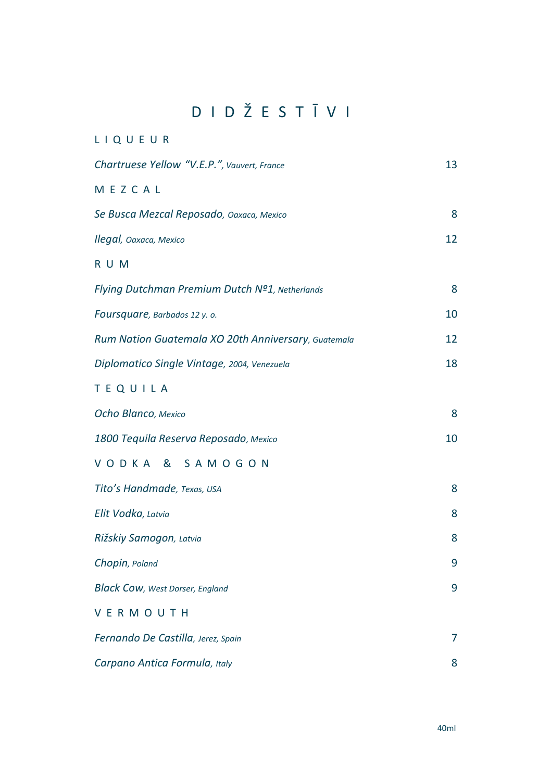## D I D Ž E S T Ī V I

| LIQUEUR                                             |    |
|-----------------------------------------------------|----|
| Chartruese Yellow "V.E.P.", Vauvert, France         | 13 |
| MEZCAL                                              |    |
| Se Busca Mezcal Reposado, Oaxaca, Mexico            | 8  |
| Ilegal, Oaxaca, Mexico                              | 12 |
| R U M                                               |    |
| Flying Dutchman Premium Dutch Nº1, Netherlands      | 8  |
| Foursquare, Barbados 12 y.o.                        | 10 |
| Rum Nation Guatemala XO 20th Anniversary, Guatemala | 12 |
| Diplomatico Single Vintage, 2004, Venezuela         | 18 |
| <b>TEQUILA</b>                                      |    |
| Ocho Blanco, Mexico                                 | 8  |
| 1800 Tequila Reserva Reposado, Mexico               | 10 |
| VODKA<br>&<br>SAMOGON                               |    |
| Tito's Handmade, Texas, USA                         | 8  |
| Elit Vodka, Latvia                                  | 8  |
| Rižskiy Samogon, Latvia                             | 8  |
| Chopin, Poland                                      | 9  |
| <b>Black Cow, West Dorser, England</b>              | 9  |
| VERMOUTH                                            |    |
| Fernando De Castilla, Jerez, Spain                  | 7  |
| Carpano Antica Formula, Italy                       | 8  |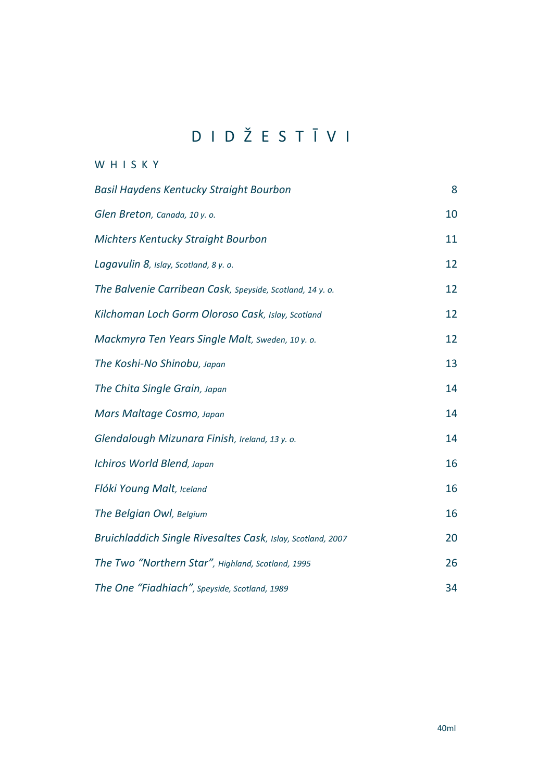## D I D Ž E S T Ī V I

#### W H I S K Y

| Basil Haydens Kentucky Straight Bourbon                     | 8  |
|-------------------------------------------------------------|----|
| Glen Breton, Canada, 10 y. o.                               | 10 |
| Michters Kentucky Straight Bourbon                          | 11 |
| Lagavulin 8, Islay, Scotland, 8 y. o.                       | 12 |
| The Balvenie Carribean Cask, Speyside, Scotland, 14 y. o.   | 12 |
| Kilchoman Loch Gorm Oloroso Cask, Islay, Scotland           | 12 |
| Mackmyra Ten Years Single Malt, Sweden, 10 y. o.            | 12 |
| The Koshi-No Shinobu, Japan                                 | 13 |
| The Chita Single Grain, Japan                               | 14 |
| Mars Maltage Cosmo, Japan                                   | 14 |
| Glendalough Mizunara Finish, Ireland, 13 y. o.              | 14 |
| Ichiros World Blend, Japan                                  | 16 |
| Flóki Young Malt, Iceland                                   | 16 |
| The Belgian Owl, Belgium                                    | 16 |
| Bruichladdich Single Rivesaltes Cask, Islay, Scotland, 2007 | 20 |
| The Two "Northern Star", Highland, Scotland, 1995           | 26 |
| The One "Fiadhiach", Speyside, Scotland, 1989               | 34 |